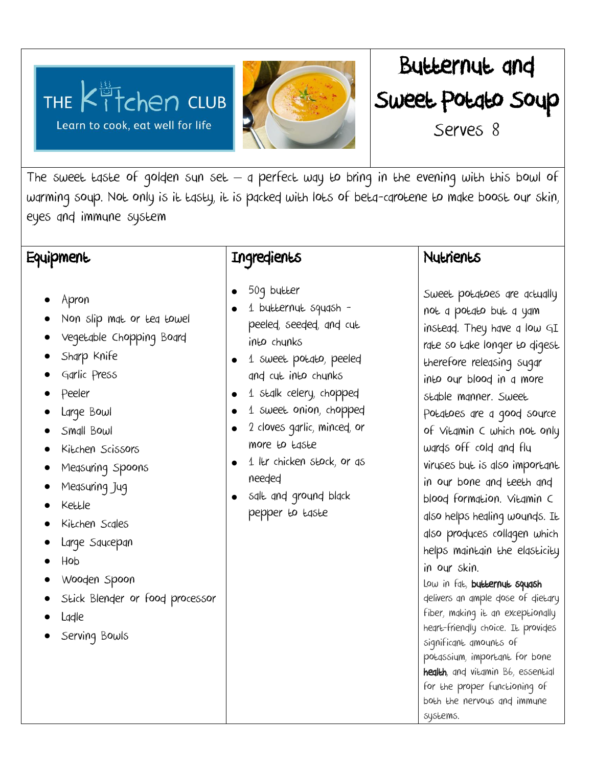THE  $K^{\frac{13}{11}}$ chen CLUB Learn to cook, eat well for life





The sweet taste of golden sun set  $-$  a perfect way to bring in the evening with this bowl of warming soup. Not only is it tasty, it is packed with lots of beta-carotene to make boost our skin, eyes and immune system

## **Equipment**

- Apron
- Non slip mat or tea towel
- Vegetable Chopping Board
- Sharp Knife
- Garlic Press
- Peeler
- Large Bowl
- Small Bowl
- Kitchen Scissors
- Measuring Spoons
- Measuring Jug
- Kettle
- Kitchen Scales
- Large Saucepan
- Hob
- Wooden Spoon
- Stick Blender or food processor
- Ladle
- Serving Bowls

# Ingredients

- 50g butter
- 1 butternut squash peeled, seeded, and cut into chunks
- 1 sweet potato, peeled and cut into chunks
- 1 stalk celery, chopped
- 1 sweet onion, chopped
- 2 cloves garlic, minced, or more to taste
- $\bullet$  1 ltr chicken stock, or as needed
- salt and ground black pepper to taste

## **Nutrients**

Sweet potatoes are actually not a potato but a yam instead. They have a low GI rate so take longer to digest therefore releasing sugar into our blood in a more stable manner. Sweet Potatoes are a good source of Vitamin C which not only wards off cold and flu viruses but is also important in our bone and teeth and blood formation. Vitamin C also helps healing wounds. It also produces collagen which helps maintain the elasticity in our skin. Low in fat, butternut squash delivers an ample dose of dietary fiber, making it an exceptionally heart-friendly choice. It provides significant amounts of potassium, important for bone health, and vitamin B6, essential for the proper functioning of

both the nervous and immune

systems.